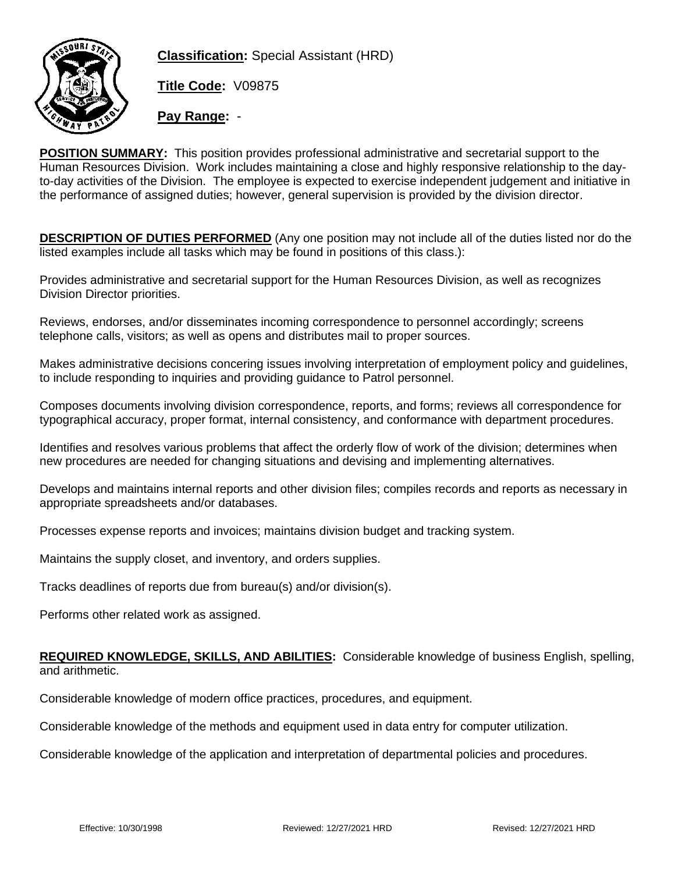

**Classification:** Special Assistant (HRD)

**Title Code:** V09875

**Pay Range:** -

**POSITION SUMMARY:** This position provides professional administrative and secretarial support to the Human Resources Division. Work includes maintaining a close and highly responsive relationship to the dayto-day activities of the Division. The employee is expected to exercise independent judgement and initiative in the performance of assigned duties; however, general supervision is provided by the division director.

**DESCRIPTION OF DUTIES PERFORMED** (Any one position may not include all of the duties listed nor do the listed examples include all tasks which may be found in positions of this class.):

Provides administrative and secretarial support for the Human Resources Division, as well as recognizes Division Director priorities.

Reviews, endorses, and/or disseminates incoming correspondence to personnel accordingly; screens telephone calls, visitors; as well as opens and distributes mail to proper sources.

Makes administrative decisions concering issues involving interpretation of employment policy and guidelines, to include responding to inquiries and providing guidance to Patrol personnel.

Composes documents involving division correspondence, reports, and forms; reviews all correspondence for typographical accuracy, proper format, internal consistency, and conformance with department procedures.

Identifies and resolves various problems that affect the orderly flow of work of the division; determines when new procedures are needed for changing situations and devising and implementing alternatives.

Develops and maintains internal reports and other division files; compiles records and reports as necessary in appropriate spreadsheets and/or databases.

Processes expense reports and invoices; maintains division budget and tracking system.

Maintains the supply closet, and inventory, and orders supplies.

Tracks deadlines of reports due from bureau(s) and/or division(s).

Performs other related work as assigned.

**REQUIRED KNOWLEDGE, SKILLS, AND ABILITIES:** Considerable knowledge of business English, spelling, and arithmetic.

Considerable knowledge of modern office practices, procedures, and equipment.

Considerable knowledge of the methods and equipment used in data entry for computer utilization.

Considerable knowledge of the application and interpretation of departmental policies and procedures.